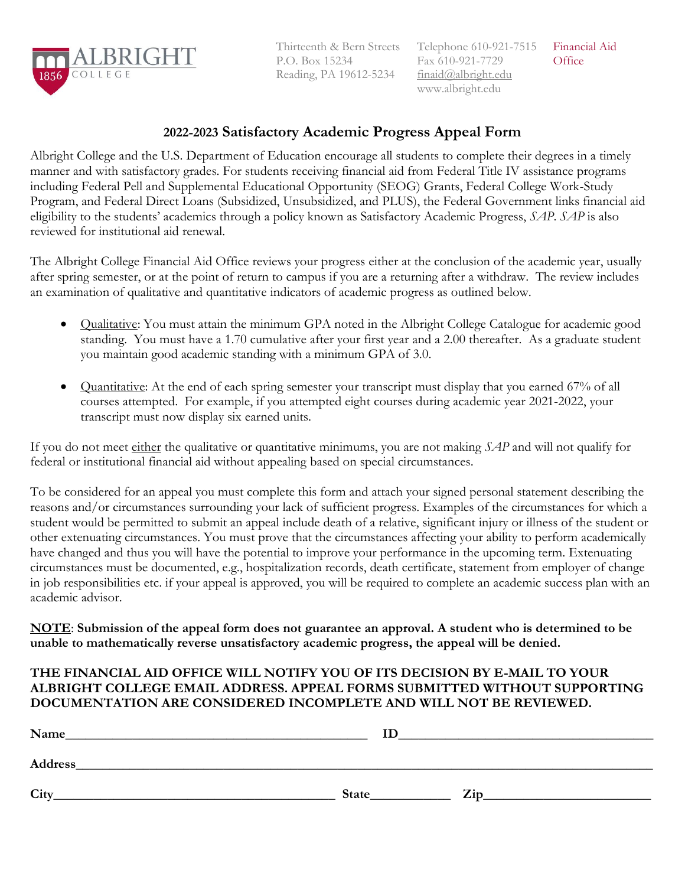

Thirteenth & Bern Streets P.O. Box 15234 Reading, PA 19612-5234

# **2022-2023 Satisfactory Academic Progress Appeal Form**

Albright College and the U.S. Department of Education encourage all students to complete their degrees in a timely manner and with satisfactory grades. For students receiving financial aid from Federal Title IV assistance programs including Federal Pell and Supplemental Educational Opportunity (SEOG) Grants, Federal College Work-Study Program, and Federal Direct Loans (Subsidized, Unsubsidized, and PLUS), the Federal Government links financial aid eligibility to the students' academics through a policy known as Satisfactory Academic Progress, *SAP*. *SAP* is also reviewed for institutional aid renewal.

The Albright College Financial Aid Office reviews your progress either at the conclusion of the academic year, usually after spring semester, or at the point of return to campus if you are a returning after a withdraw. The review includes an examination of qualitative and quantitative indicators of academic progress as outlined below.

- Qualitative: You must attain the minimum GPA noted in the Albright College Catalogue for academic good standing. You must have a 1.70 cumulative after your first year and a 2.00 thereafter. As a graduate student you maintain good academic standing with a minimum GPA of 3.0.
- Quantitative: At the end of each spring semester your transcript must display that you earned 67% of all courses attempted. For example, if you attempted eight courses during academic year 2021-2022, your transcript must now display six earned units.

If you do not meet either the qualitative or quantitative minimums, you are not making *SAP* and will not qualify for federal or institutional financial aid without appealing based on special circumstances.

To be considered for an appeal you must complete this form and attach your signed personal statement describing the reasons and/or circumstances surrounding your lack of sufficient progress. Examples of the circumstances for which a student would be permitted to submit an appeal include death of a relative, significant injury or illness of the student or other extenuating circumstances. You must prove that the circumstances affecting your ability to perform academically have changed and thus you will have the potential to improve your performance in the upcoming term. Extenuating circumstances must be documented, e.g., hospitalization records, death certificate, statement from employer of change in job responsibilities etc. if your appeal is approved, you will be required to complete an academic success plan with an academic advisor.

**NOTE**: **Submission of the appeal form does not guarantee an approval. A student who is determined to be unable to mathematically reverse unsatisfactory academic progress, the appeal will be denied.** 

# **THE FINANCIAL AID OFFICE WILL NOTIFY YOU OF ITS DECISION BY E-MAIL TO YOUR ALBRIGHT COLLEGE EMAIL ADDRESS. APPEAL FORMS SUBMITTED WITHOUT SUPPORTING DOCUMENTATION ARE CONSIDERED INCOMPLETE AND WILL NOT BE REVIEWED.**

| Name    | ΙD    |     |
|---------|-------|-----|
| Address |       |     |
| City    | State | Zip |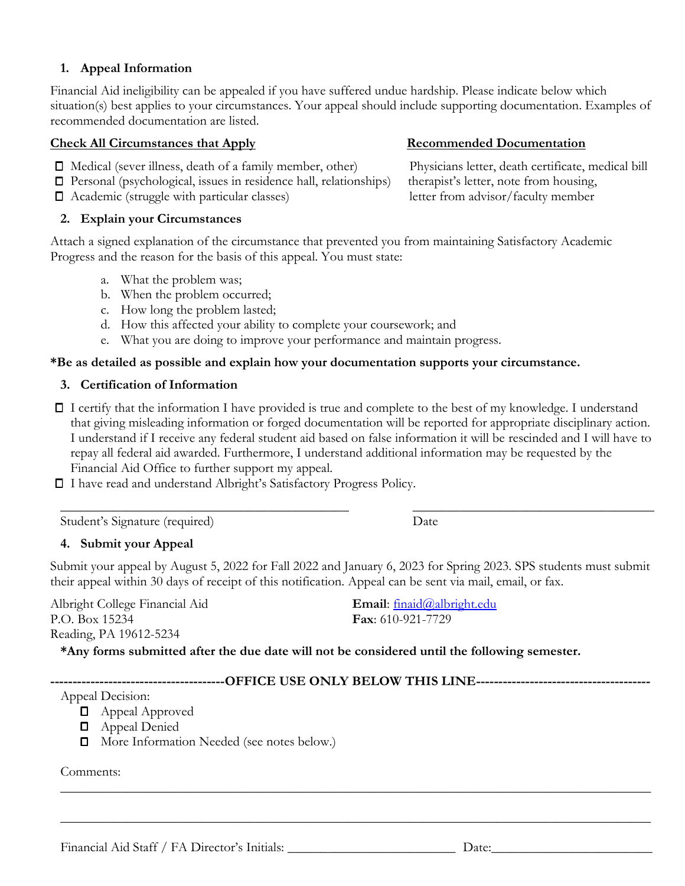**D** Appeal Approved **D** Appeal Denied

Comments:

Appeal Decision:

Financial Aid Staff / FA Director's Initials: \_\_\_\_\_\_\_\_\_\_\_\_\_\_\_\_\_\_\_\_\_\_\_\_\_\_\_\_\_\_\_\_\_\_ Date:

**D** More Information Needed (see notes below.)

### **1. Appeal Information**

Financial Aid ineligibility can be appealed if you have suffered undue hardship. Please indicate below which situation(s) best applies to your circumstances. Your appeal should include supporting documentation. Examples of recommended documentation are listed.

### **Check All Circumstances that Apply Secommended Documentation**

- Medical (sever illness, death of a family member, other) Physicians letter, death certificate, medical bill
- Personal (psychological, issues in residence hall, relationships) therapist's letter, note from housing,
- Academic (struggle with particular classes) letter from advisor/faculty member

### **2. Explain your Circumstances**

Attach a signed explanation of the circumstance that prevented you from maintaining Satisfactory Academic Progress and the reason for the basis of this appeal. You must state:

- a. What the problem was;
- b. When the problem occurred;
- c. How long the problem lasted;
- d. How this affected your ability to complete your coursework; and
- e. What you are doing to improve your performance and maintain progress.

### **\*Be as detailed as possible and explain how your documentation supports your circumstance.**

### **3. Certification of Information**

I certify that the information I have provided is true and complete to the best of my knowledge. I understand that giving misleading information or forged documentation will be reported for appropriate disciplinary action. I understand if I receive any federal student aid based on false information it will be rescinded and I will have to repay all federal aid awarded. Furthermore, I understand additional information may be requested by the Financial Aid Office to further support my appeal.

 $\_$  , and the set of the set of the set of the set of the set of the set of the set of the set of the set of the set of the set of the set of the set of the set of the set of the set of the set of the set of the set of th

I have read and understand Albright's Satisfactory Progress Policy.

Student's Signature (required) Date

### **4. Submit your Appeal**

Submit your appeal by August 5, 2022 for Fall 2022 and January 6, 2023 for Spring 2023. SPS students must submit their appeal within 30 days of receipt of this notification. Appeal can be sent via mail, email, or fax.

\_\_\_\_\_\_\_\_\_\_\_\_\_\_\_\_\_\_\_\_\_\_\_\_\_\_\_\_\_\_\_\_\_\_\_\_\_\_\_\_\_\_\_\_\_\_\_\_\_\_\_\_\_\_\_\_\_\_\_\_\_\_\_\_\_\_\_\_\_\_\_\_\_\_\_\_\_\_\_\_\_\_\_\_\_\_\_\_

\_\_\_\_\_\_\_\_\_\_\_\_\_\_\_\_\_\_\_\_\_\_\_\_\_\_\_\_\_\_\_\_\_\_\_\_\_\_\_\_\_\_\_\_\_\_\_\_\_\_\_\_\_\_\_\_\_\_\_\_\_\_\_\_\_\_\_\_\_\_\_\_\_\_\_\_\_\_\_\_\_\_\_\_\_\_\_\_

**\*Any forms submitted after the due date will not be considered until the following semester.** 

Albright College Financial Aid P.O. Box 15234 Reading, PA 19612-5234

**Fax**: 610-921-7729

**---------------------------------------OFFICE USE ONLY BELOW THIS LINE---------------------------------------**

**Email**: [finaid@albright.edu](mailto:finaid@albright.edu)